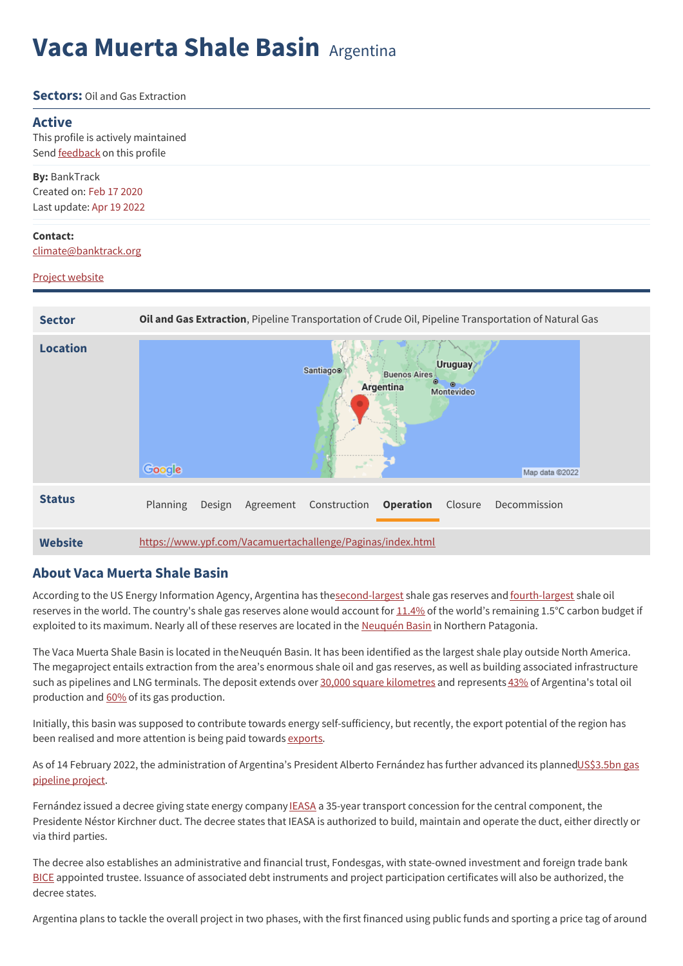# **Vaca Muerta Shale Basin** Argentina

### **Sectors:** Oil and Gas Extraction

### **Active**

This profile is actively maintained Send **[feedback](https://www.banktrack.org/feedback/dodgydeal/vaca_muerta)** on this profile

**By:** BankTrack Created on: Feb 17 2020 Last update: Apr 19 2022

#### **Contact:**

[climate@banktrack.org](mailto:climate@banktrack.org)

### Project [website](https://www.ypf.com/Vacamuertachallenge/Paginas/index.html)

| <b>Sector</b>   | Oil and Gas Extraction, Pipeline Transportation of Crude Oil, Pipeline Transportation of Natural Gas                                |
|-----------------|-------------------------------------------------------------------------------------------------------------------------------------|
| <b>Location</b> | Uruguay<br><b>Santiago®</b><br><b>Buenos Aires</b><br>◉<br>۰<br>Argentina<br>Montevideo<br>Google<br><b>Sheet</b><br>Map data @2022 |
| <b>Status</b>   | Planning<br><b>Operation</b><br>Closure<br>Agreement Construction<br>Decommission<br>Design                                         |
| Website         | https://www.ypf.com/Vacamuertachallenge/Paginas/index.html                                                                          |

## **About Vaca Muerta Shale Basin**

According to the US Energy Information Agency, Argentina has th[esecond-largest](http://www.boell.de/sites/default/files/megaproject.pdf) shale gas reserves and [fourth-largest](http://www.boell.de/sites/default/files/megaproject.pdf) shale oil reserves in the world. The country's shale gas reserves alone would account for [11.4%](http://ggon.org/wp-content/uploads/2019/12/GGON_OilGasClimate_English_Dec2019-1.pdf) of the world's remaining 1.5°C carbon budget if exploited to its maximum. Nearly all of these reserves are located in the [Neuquén](https://www.boell.de/sites/default/files/megaproject.pdf) Basin in Northern Patagonia.

The Vaca Muerta Shale Basin is located in theNeuquén Basin. It has been identified as the largest shale play outside North America. The megaproject entails extraction from the area's enormous shale oil and gas reserves, as well as building associated infrastructure such as pipelines and LNG terminals. The deposit extends over 30,000 square [kilometres](https://www.batimes.com.ar/news/economy/vaca-muerta-the-risky-bet-on-argentinas-fracking-industry.phtml) and represents [43%](https://www.batimes.com.ar/news/economy/vaca-muerta-the-risky-bet-on-argentinas-fracking-industry.phtml) of Argentina's total oil production and [60%](https://www.batimes.com.ar/news/economy/vaca-muerta-the-risky-bet-on-argentinas-fracking-industry.phtml) of its gas production.

Initially, this basin was supposed to contribute towards energy self-sufficiency, but recently, the export potential of the region has been realised and more attention is being paid towards [exports](https://urgewald.org/sites/default/files/media-files/FiveYearsLostReport.pdf).

As of 14 February 2022, the administration of Argentina's President Alberto Fernández has further advanced its [plannedUS\\$3.5bn](https://www.bnamericas.com/en/project-profile/nestor-kirchner-natural-gas-pipeline-tratayen-saturno-salliquelo) gas pipeline project.

Fernández issued a decree giving state energy company [IEASA](https://www.bnamericas.com/en/company-profile/integracion-energetica-argentina-sa-ex-enarsa-ieasa-ex-enarsa) a 35-year transport concession for the central component, the Presidente Néstor Kirchner duct. The decree states that IEASA is authorized to build, maintain and operate the duct, either directly or via third parties.

The decree also establishes an administrative and financial trust, Fondesgas, with state-owned investment and foreign trade bank [BICE](https://www.bnamericas.com/en/company-profile/banco-de-inversion-y-comercio-exterior-sa) appointed trustee. Issuance of associated debt instruments and project participation certificates will also be authorized, the decree states.

Argentina plans to tackle the overall project in two phases, with the first financed using public funds and sporting a price tag of around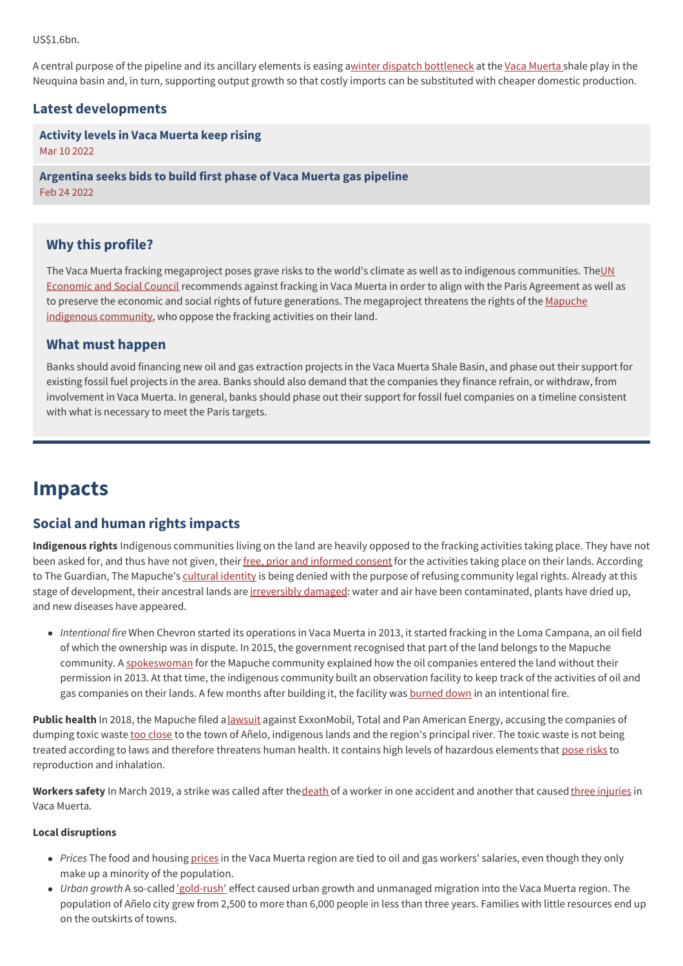US\$1.6bn.

A central purpose of the pipeline and its ancillary elements is easing awinter dispatch [bottleneck](https://www.oxfordenergy.org/wpcms/wp-content/uploads/2021/05/Will-Argentina-Become-a-Relevant-Gas-Exporter-NG167.pdf) at the Vaca [Muerta](https://www.bnamericas.com/en/project-profile/vaca-muerta-formation) shale play in the Neuquina basin and, in turn, supporting output growth so that costly imports can be substituted with cheaper domestic production.

## **Latest developments**

**[Activity](javascript:void(0)) levels in Vaca Muerta keep rising** Mar 10 2022

**[Argentina](javascript:void(0)) seeks bids to build first phase of Vaca Muerta gas pipeline** Feb 24 2022

# **Why this profile?**

The Vaca Muerta fracking megaproject poses grave risks to the world's climate as well as to indigenous [communities.](https://tbinternet.ohchr.org/_layouts/15/treatybodyexternal/Download.aspx?symbolno=E/C.12/ARG/CO/4&Lang=en) TheUN Economic and Social Council recommends against fracking in Vaca Muerta in order to align with the Paris Agreement as well as to preserve the economic and social rights of future generations. The [megaproject](https://www.theguardian.com/environment/2019/oct/14/indigenous-mapuche-argentina-fracking-communities) threatens the rights of the Mapuche indigenous community, who oppose the fracking activities on their land.

## **What must happen**

Banks should avoid financing new oil and gas extraction projects in the Vaca Muerta Shale Basin, and phase out their support for existing fossil fuel projects in the area. Banks should also demand that the companies they finance refrain, or withdraw, from involvement in Vaca Muerta. In general, banks should phase out their support for fossil fuel companies on a timeline consistent with what is necessary to meet the Paris targets.

# **Impacts**

# **Social and human rights impacts**

**Indigenous rights** Indigenous communities living on the land are heavily opposed to the fracking activities taking place. They have not been asked for, and thus have not given, their free, prior and [informed](http://www.batimes.com.ar/news/economy/vaca-muerta-the-risky-bet-on-argentinas-fracking-industry.phtml) consent for the activities taking place on their lands. According to The Guardian, The Mapuche's [cultural](https://www.theguardian.com/environment/2019/oct/14/indigenous-mapuche-argentina-fracking-communities) identity is being denied with the purpose of refusing community legal rights. Already at this stage of development, their ancestral lands are [irreversibly](https://www.batimes.com.ar/news/economy/vaca-muerta-the-risky-bet-on-argentinas-fracking-industry.phtml) damaged: water and air have been contaminated, plants have dried up, and new diseases have appeared.

*Intentional fire* When Chevron started its operations in Vaca Muerta in 2013, it started fracking in the Loma Campana, an oil field of which the ownership was in dispute. In 2015, the government recognised that part of the land belongs to the Mapuche community. A [spokeswoman](https://www.theguardian.com/environment/2019/oct/14/indigenous-mapuche-argentina-fracking-communities) for the Mapuche community explained how the oil companies entered the land without their permission in 2013. At that time, the indigenous community built an observation facility to keep track of the activities of oil and gas companies on their lands. A few months after building it, the facility was [burned](http://youtu.be/pGqi09JivkM) down in an intentional fire.

Public health In 2018, the Mapuche filed a [lawsuit](https://www.batimes.com.ar/news/economy/mapuche-group-files-lawsuit-against-multinationals-over-pollution-from-vaca-muerta.phtml) against ExxonMobil, Total and Pan American Energy, accusing the companies of dumping toxic waste too [close](https://lab.org.uk/argentina-toxic-waste-from-fracking-in-patagonia/) to the town of Añelo, indigenous lands and the region's principal river. The toxic waste is not being treated according to laws and therefore threatens human health. It contains high levels of hazardous elements that [pose](https://lab.org.uk/argentina-toxic-waste-from-fracking-in-patagonia/) risks to reproduction and inhalation.

**Workers safety** In March 2019, a strike was called after th[edeath](https://af.reuters.com/article/energyOilNews/idAFL1N2160SA) of a worker in one accident and another that caused three [injuries](http://af.reuters.com/article/energyOilNews/idAFL1N2160SA) in Vaca Muerta.

### **Local disruptions**

- *Prices* The food and housing [prices](http://www.boell.de/sites/default/files/megaproject.pdf) in the Vaca Muerta region are tied to oil and gas workers' salaries, even though they only make up a minority of the population.
- *Urban growth* A so-called ['gold-rush'](https://www.boell.de/sites/default/files/megaproject.pdf) effect caused urban growth and unmanaged migration into the Vaca Muerta region. The population of Añelo city grew from 2,500 to more than 6,000 people in less than three years. Families with little resources end up on the outskirts of towns.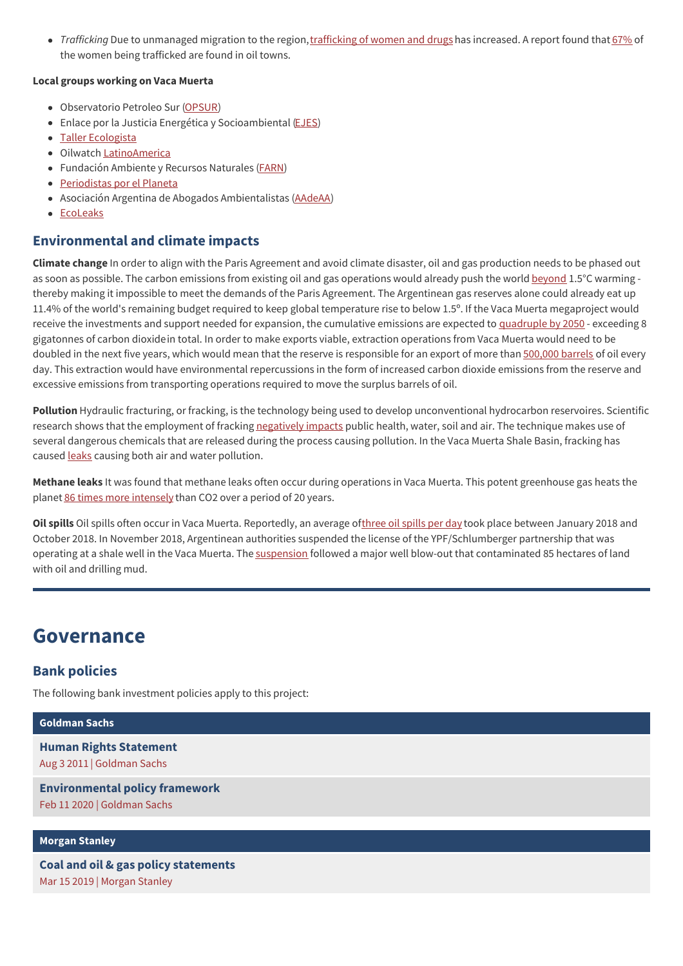• Trafficking Due to unmanaged migration to the region, [trafficking](https://www.boell.de/sites/default/files/megaproject.pdf) of women and drugs has increased. A report found that [67%](https://www.boell.de/sites/default/files/megaproject.pdf) of the women being trafficked are found in oil towns.

#### **Local groups working on Vaca Muerta**

- Observatorio Petroleo Sur [\(OPSUR](https://opsur.org.ar/))
- Enlace por la Justicia Energética y Socioambiental [\(EJES](https://ejes.org.ar/))
- Taller [Ecologista](https://tallerecologista.org.ar/)
- Oilwatch [LatinoAmerica](https://www.oilwatch.org/oilwatch-in-latin-america/)
- Fundación Ambiente y Recursos Naturales [\(FARN](https://farn.org.ar/))
- [Periodistas](https://periodistasporelplaneta.com/) por el Planeta
- Asociación Argentina de Abogados Ambientalistas [\(AAdeAA](https://www.facebook.com/Asociaci%25C3%25B3n-Argentina-de-Abogados-Ambientalistas-AAdeAA-151933911572/))
- [EcoLeaks](https://www.ecoleaks.com/)

## **Environmental and climate impacts**

**Climate change** In order to align with the Paris Agreement and avoid climate disaster, oil and gas production needs to be phased out as soon as possible. The carbon emissions from existing oil and gas operations would already push the world [beyond](https://www.boell.de/sites/default/files/megaproject.pdf) 1.5°C warming thereby making it impossible to meet the demands of the Paris Agreement. The Argentinean gas reserves alone could already eat up 11.4% of the world's remaining budget required to keep global temperature rise to below 1.5º. If the Vaca Muerta megaproject would receive the investments and support needed for expansion, the cumulative emissions are expected to [quadruple](http://ggon.org/wp-content/uploads/2019/12/GGON_OilGasClimate_English_Dec2019-1.pdf) by 2050 - exceeding 8 gigatonnes of carbon dioxidein total. In order to make exports viable, extraction operations from Vaca Muerta would need to be doubled in the next five years, which would mean that the reserve is responsible for an export of more than [500,000](https://urgewald.org/sites/default/files/media-files/FiveYearsLostReport.pdf) barrels of oil every day. This extraction would have environmental repercussions in the form of increased carbon dioxide emissions from the reserve and excessive emissions from transporting operations required to move the surplus barrels of oil.

**Pollution** Hydraulic fracturing, or fracking, is the technology being used to develop unconventional hydrocarbon reservoires. Scientific research shows that the employment of fracking [negatively](http://www.boell.de/sites/default/files/megaproject.pdf) impacts public health, water, soil and air. The technique makes use of several dangerous chemicals that are released during the process causing pollution. In the Vaca Muerta Shale Basin, fracking has caused [leaks](https://www.theguardian.com/environment/2019/oct/14/indigenous-mapuche-argentina-fracking-communities) causing both air and water pollution.

**Methane leaks** It was found that methane leaks often occur during operations in Vaca Muerta. This potent greenhouse gas heats the planet 86 times more [intensely](https://www.scientificamerican.com/article/how-bad-of-a-greenhouse-gas-is-methane/) than CO2 over a period of 20 years.

Oil spills Oil spills often occur in Vaca Muerta. Reportedly, an average of[three](https://forensic-architecture.org/investigation/oil-and-gas-pollution-in-vaca-muerta) oil spills per day took place between January 2018 and October 2018. In November 2018, Argentinean authorities suspended the license of the YPF/Schlumberger partnership that was operating at a shale well in the Vaca Muerta. The [suspension](https://platformlondon.org/p-pressreleases/ypf-schlumberger-blowout-spill-bandurria/) followed a major well blow-out that contaminated 85 hectares of land with oil and drilling mud.

# **Governance**

## **Bank policies**

The following bank investment policies apply to this project:

## **[Goldman](https://www.banktrack.org/show/bankprofile/goldman_sachs) Sachs**

**Human Rights [Statement](https://www.banktrack.org/download/goldman_sachs_human_rights_statement)** Aug 3 2011 | Goldman Sachs

**[Environmental](https://www.banktrack.org/download/environmental_policy_framework_3) policy framework** Feb 11 2020 | Goldman Sachs

#### **[Morgan](https://www.banktrack.org/show/bankprofile/morgan_stanley) Stanley**

**Coal and oil & gas policy [statements](https://www.banktrack.org/download/coal_and_oil_gas_policy_statements)** Mar 15 2019 | Morgan Stanley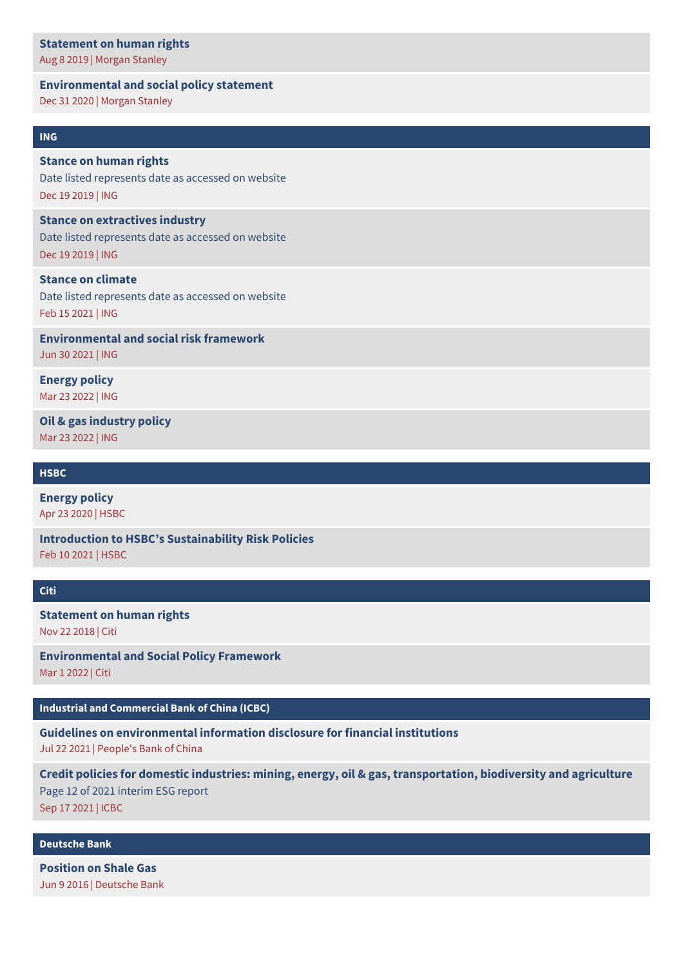#### **[Statement](https://www.banktrack.org/download/statement_on_human_rights_11) on human rights**

Aug 8 2019 | Morgan Stanley

#### **[Environmental](https://www.banktrack.org/download/environmental_and_social_policy_statement_1) and social policy statement**

Dec 31 2020 | Morgan Stanley

### **[ING](https://www.banktrack.org/show/bankprofile/ing)**

### **Stance on human rights**

Date listed [represents](https://www.ing.com/Sustainability/Our-Stance/Human-rights.htm) date as accessed on website Dec 19 2019 | ING

#### **Stance on [extractives](https://www.ing.com/Sustainability/Our-Stance/Extractives-industry.htm) industry**

Date listed represents date as accessed on website Dec 19 2019 | ING

### **Stance on climate**

Date listed [represents](https://www.ing.com/Sustainability/Our-Stance/Climate.htm) date as accessed on website Feb 15 2021 | ING

**[Environmental](https://www.banktrack.org/download/environmental_and_social_risk_framework_3) and social risk framework** Jun 30 2021 | ING

**[Energy](https://www.ing.com/Sustainability/Our-Stance/Energy.htm) policy** Mar 23 2022 | ING

**Oil & gas [industry](https://www.ing.com/Sustainability/Our-Stance/Oil-gas-industry.htm) policy** Mar 23 2022 | ING

#### **[HSBC](https://www.banktrack.org/show/bankprofile/hsbc)**

**[Energy](https://www.banktrack.org/download/energy_policy_4) policy** Apr 23 2020 | HSBC

**Introduction to HSBC's [Sustainability](https://www.banktrack.org/download/introduction_to_hsbc_s_sustainability_risk_policies) Risk Policies** Feb 10 2021 | HSBC

#### **[Citi](https://www.banktrack.org/show/bankprofile/citi)**

**[Statement](https://www.banktrack.org/download/statement_on_human_rights_6) on human rights** Nov 22 2018 | Citi

**[Environmental](https://www.banktrack.org/download/environmental_and_social_policy_framework_11) and Social Policy Framework** Mar 1 2022 | Citi

## **Industrial and [Commercial](https://www.banktrack.org/show/bankprofile/industrial_commercial_bank_of_china) Bank of China (ICBC)**

**Guidelines on [environmental](https://chinadevelopmentbrief.cn/wp-content/uploads/2021/08/Guidelines-for-financial-institutions-environmental-information-disclosure.pdf) information disclosure for financial institutions** Jul 22 2021 | People's Bank of China

**Credit policies for domestic industries: mining, energy, oil & gas, [transportation,](https://www.banktrack.org/download/2021_interim_esg_report_includes_credit_policies_on_mining_energy_oil_gas_transportation_biodiversity_and_agriculture) biodiversity and agriculture** Page 12 of 2021 interim ESG report Sep 17 2021 | ICBC

#### **[Deutsche](https://www.banktrack.org/show/bankprofile/deutsche_bank) Bank**

**[Position](https://www.db.com/newsroom/en/shale-gas.htm) on Shale Gas** Jun 9 2016 | Deutsche Bank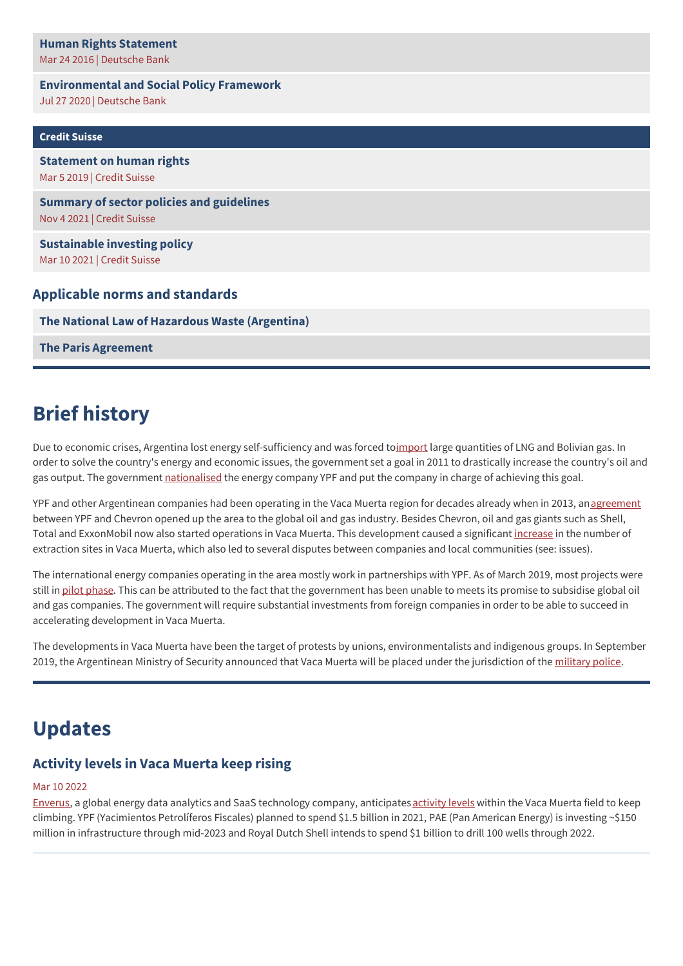## **Human Rights [Statement](https://www.banktrack.org/download/deutsche_bank_human_rights_statement_1_pdf)** Mar 24 2016 | Deutsche Bank

# **[Environmental](https://www.banktrack.org/download/environmental_and_social_policy_framework_july_2020) and Social Policy Framework**

Jul 27 2020 | Deutsche Bank

| <b>Credit Suisse</b>                                                           |
|--------------------------------------------------------------------------------|
| <b>Statement on human rights</b><br>Mar 5 2019   Credit Suisse                 |
| <b>Summary of sector policies and guidelines</b><br>Nov 4 2021   Credit Suisse |
| <b>Sustainable investing policy</b><br>Mar 10 2021   Credit Suisse             |
| <b>Applicable norms and standards</b>                                          |

**The National Law of Hazardous Waste [\(Argentina\)](http://servicios.infoleg.gob.ar/infolegInternet/anexos/0-4999/450/texact.htm)**

**The Paris [Agreement](https://unfccc.int/process-and-meetings/the-paris-agreement/the-paris-agreement)**

# **Brief history**

Due to economic crises, Argentina lost energy self-sufficiency and was forced to[import](https://www.boell.de/sites/default/files/megaproject.pdf) large quantities of LNG and Bolivian gas. In order to solve the country's energy and economic issues, the government set a goal in 2011 to drastically increase the country's oil and gas output. The government [nationalised](https://www.boell.de/sites/default/files/megaproject.pdf) the energy company YPF and put the company in charge of achieving this goal.

YPF and other Argentinean companies had been operating in the Vaca Muerta region for decades already when in 2013, an [agreement](http://www.reuters.com/article/us-argentina-chevron/chevron-argentinas-ypf-sign-1-24-billion-vaca-muerta-shale-deal-idUSBRE96F18X20130717) between YPF and Chevron opened up the area to the global oil and gas industry. Besides Chevron, oil and gas giants such as Shell, Total and ExxonMobil now also started operations in Vaca Muerta. This development caused a significant [increase](https://www.theguardian.com/environment/2019/oct/14/indigenous-mapuche-argentina-fracking-communities) in the number of extraction sites in Vaca Muerta, which also led to several disputes between companies and local communities (see: issues).

The international energy companies operating in the area mostly work in partnerships with YPF. As of March 2019, most projects were still in pilot [phase](https://www.banktrack.org/download/financial_risks_cloud_development_of_argentinas_vaca_muerta_oil_and_gas_reserves/financialrisksclouddevelopmentofvacamuerta_march2019.pdf). This can be attributed to the fact that the government has been unable to meets its promise to subsidise global oil and gas companies. The government will require substantial investments from foreign companies in order to be able to succeed in accelerating development in Vaca Muerta.

The developments in Vaca Muerta have been the target of protests by unions, environmentalists and indigenous groups. In September 2019, the Argentinean Ministry of Security announced that Vaca Muerta will be placed under the jurisdiction of the [military](https://www.reuters.com/article/us-argentina-vacamuerta/argentinas-government-reinforces-security-in-vaca-muerta-shale-oil-zone-idUSKBN1W2016) police.

# **Updates**

# **Activity levels in Vaca Muerta keep rising**

## Mar 10 2022

[Enverus,](https://www.enverus.com/) a global energy data analytics and SaaS technology company, anticipates [activity](https://www.enverus.com/?field_industry_resources_value%255B%255D=Software&field_role_value%255B%255D=Developer&field_industry_resources_value%255B0%255D=Software&field_function_value_selective=Engineering&field_role_value%255B0%255D=Developer&tab=4&UTM_Source=ATARC&order=title&sort=asc&page=28) levels within the Vaca Muerta field to keep climbing. YPF (Yacimientos Petrolíferos Fiscales) planned to spend \$1.5 billion in 2021, PAE (Pan American Energy) is investing ~\$150 million in infrastructure through mid-2023 and Royal Dutch Shell intends to spend \$1 billion to drill 100 wells through 2022.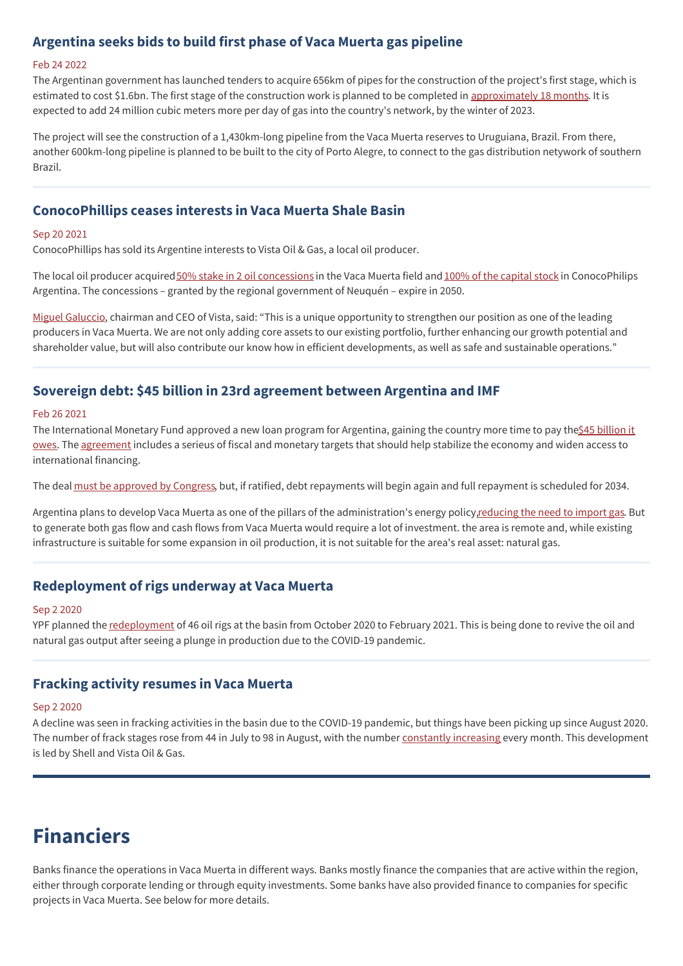## **Argentina seeks bids to build first phase of Vaca Muerta gas pipeline**

#### Feb 24 2022

The Argentinan government has launched tenders to acquire 656km of pipes for the construction of the project's first stage, which is estimated to cost \$1.6bn. The first stage of the construction work is planned to be completed in [approximately](https://www.offshore-technology.com/news/argentina-first-phase-gas-pipeline/) 18 months. It is expected to add 24 million cubic meters more per day of gas into the country's network, by the winter of 2023.

The project will see the construction of a 1,430km-long pipeline from the Vaca Muerta reserves to Uruguiana, Brazil. From there, another 600km-long pipeline is planned to be built to the city of Porto Alegre, to connect to the gas distribution netywork of southern Brazil.

# **ConocoPhillips ceases interests in Vaca Muerta Shale Basin**

#### Sep 20 2021

ConocoPhillips has sold its Argentine interests to Vista Oil & Gas, a local oil producer.

The local oil producer acquired 50% stake in 2 oil [concessions](https://www.ijglobal.com/articles/158332/conocophillips-exits-argentina) in the Vaca Muerta field and 100% of the [capital](https://www.ijglobal.com/articles/158332/conocophillips-exits-argentina) stock in ConocoPhilips Argentina. The concessions – granted by the regional government of Neuquén – expire in 2050.

Miguel [Galuccio](https://www.upstreamonline.com/finance/vista-snaps-up-conocophillips-argentine-acreage/2-1-1071008), chairman and CEO of Vista, said: "This is a unique opportunity to strengthen our position as one of the leading producers in Vaca Muerta. We are not only adding core assets to our existing portfolio, further enhancing our growth potential and shareholder value, but will also contribute our know how in efficient developments, as well as safe and sustainable operations."

# **Sovereign debt: \$45 billion in 23rd agreement between Argentina and IMF**

#### Feb 26 2021

The [International](https://www.euromoney.com/article/286juz82jgokmigi5xgqo/capital-markets/financial-stability-enabling-argentina) Monetary Fund approved a new loan program for Argentina, gaining the country more time to pay the \$45 billion it owes. The [agreement](https://www.spglobal.com/commodityinsights/en/market-insights/blogs/oil/041222-fft-vaca-muerta-argentina-oil-gas-production) includes a serieus of fiscal and monetary targets that should help stabilize the economy and widen access to international financing.

The deal must be [approved](https://www.euromoney.com/article/b12kjv5m3m24dl/argentina-its-not-just-about-the-politics-stupid) by Congress, but, if ratified, debt repayments will begin again and full repayment is scheduled for 2034.

Argentina plans to develop Vaca Muerta as one of the pillars of the administration's energy policy, reducing the need to import gas. But to generate both gas flow and cash flows from Vaca Muerta would require a lot of investment. the area is remote and, while existing infrastructure is suitable for some expansion in oil production, it is not suitable for the area's real asset: natural gas.

## **Redeployment of rigs underway at Vaca Muerta**

#### Sep 2 2020

YPF planned the [redeployment](https://www.spglobal.com/platts/en/market-insights/latest-news/oil/090220-argentinas-ypf-to-redeploy-rigs-in-vaca-muerta-on-export-potential-governor) of 46 oil rigs at the basin from October 2020 to February 2021. This is being done to revive the oil and natural gas output after seeing a plunge in production due to the COVID-19 pandemic.

## **Fracking activity resumes in Vaca Muerta**

#### Sep 2 2020

A decline was seen in fracking activities in the basin due to the COVID-19 pandemic, but things have been picking up since August 2020. The number of frack stages rose from 44 in July to 98 in August, with the number [constantly](https://www.spglobal.com/platts/en/market-insights/latest-news/oil/090220-argentinas-ypf-to-redeploy-rigs-in-vaca-muerta-on-export-potential-governor) increasing every month. This development is led by Shell and Vista Oil & Gas.

# **Financiers**

Banks finance the operations in Vaca Muerta in different ways. Banks mostly finance the companies that are active within the region, either through corporate lending or through equity investments. Some banks have also provided finance to companies for specific projects in Vaca Muerta. See below for more details.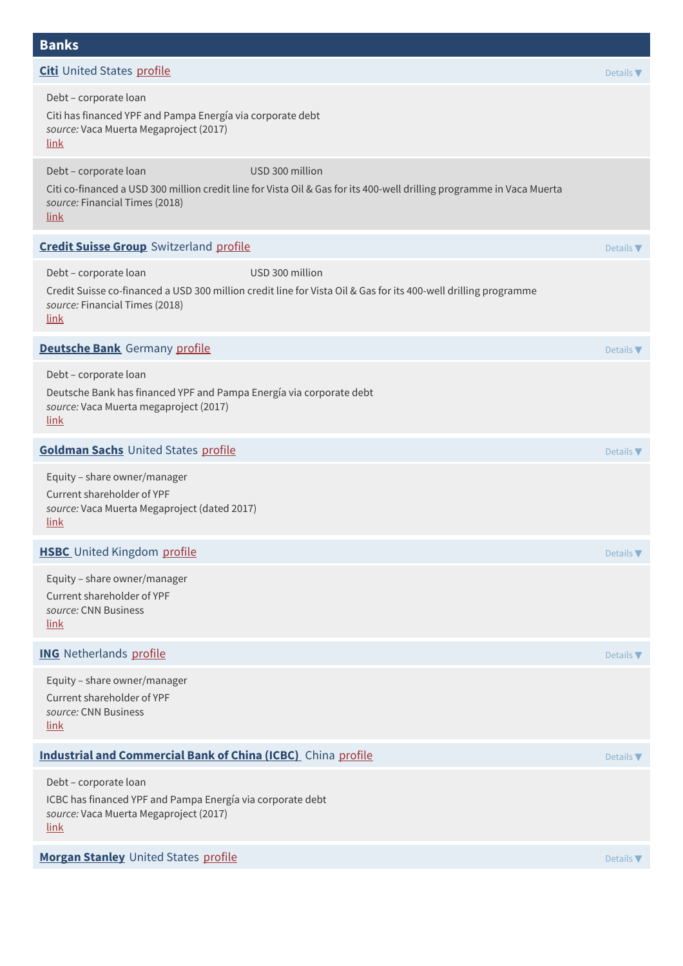# **Banks**

| <b>Citi</b> United States profile                                                                                                                                                                            | Details $\blacktriangledown$ |
|--------------------------------------------------------------------------------------------------------------------------------------------------------------------------------------------------------------|------------------------------|
| Debt - corporate loan<br>Citi has financed YPF and Pampa Energía via corporate debt<br>source: Vaca Muerta Megaproject (2017)<br><u>link</u>                                                                 |                              |
| Debt - corporate loan<br>USD 300 million<br>Citi co-financed a USD 300 million credit line for Vista Oil & Gas for its 400-well drilling programme in Vaca Muerta<br>source: Financial Times (2018)<br>link  |                              |
| <b>Credit Suisse Group</b> Switzerland profile                                                                                                                                                               | Details V                    |
| Debt - corporate loan<br>USD 300 million<br>Credit Suisse co-financed a USD 300 million credit line for Vista Oil & Gas for its 400-well drilling programme<br>source: Financial Times (2018)<br><u>link</u> |                              |
| <b>Deutsche Bank</b> Germany profile                                                                                                                                                                         | Details $\nabla$             |
| Debt - corporate loan<br>Deutsche Bank has financed YPF and Pampa Energía via corporate debt<br>source: Vaca Muerta megaproject (2017)<br>link                                                               |                              |
| <b>Goldman Sachs United States profile</b>                                                                                                                                                                   | Details $\blacktriangledown$ |
| Equity - share owner/manager<br>Current shareholder of YPF<br>source: Vaca Muerta Megaproject (dated 2017)<br>link                                                                                           |                              |
| <b>HSBC</b> United Kingdom profile                                                                                                                                                                           | Details $\blacktriangledown$ |
| Equity - share owner/manager<br>Current shareholder of YPF<br>source: CNN Business<br>link                                                                                                                   |                              |
| <b>ING</b> Netherlands profile                                                                                                                                                                               | Details $\nabla$             |
| Equity - share owner/manager<br>Current shareholder of YPF<br>source: CNN Business<br><u>link</u>                                                                                                            |                              |
| <b>Industrial and Commercial Bank of China (ICBC)</b> China profile                                                                                                                                          | Details $\nabla$             |
| Debt - corporate loan<br>ICBC has financed YPF and Pampa Energía via corporate debt<br>source: Vaca Muerta Megaproject (2017)<br><u>link</u>                                                                 |                              |
| Morgan Stanley United States profile                                                                                                                                                                         | Details $\nabla$             |